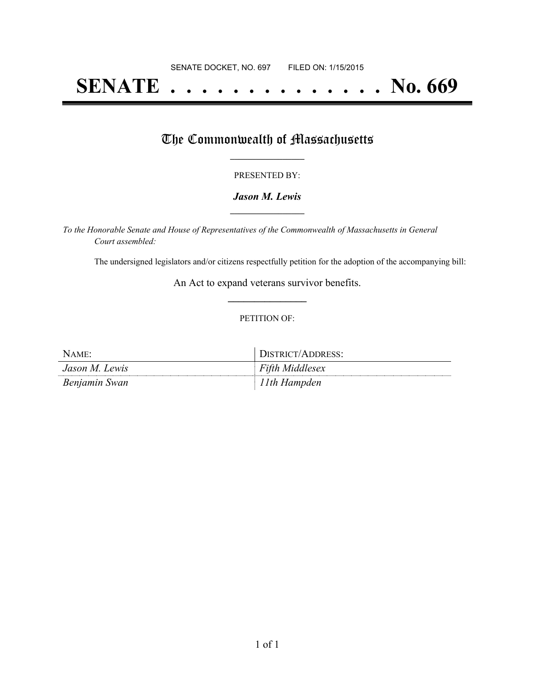# **SENATE . . . . . . . . . . . . . . No. 669**

## The Commonwealth of Massachusetts

#### PRESENTED BY:

#### *Jason M. Lewis* **\_\_\_\_\_\_\_\_\_\_\_\_\_\_\_\_\_**

*To the Honorable Senate and House of Representatives of the Commonwealth of Massachusetts in General Court assembled:*

The undersigned legislators and/or citizens respectfully petition for the adoption of the accompanying bill:

An Act to expand veterans survivor benefits. **\_\_\_\_\_\_\_\_\_\_\_\_\_\_\_**

#### PETITION OF:

| NAME:          | DISTRICT/ADDRESS:      |
|----------------|------------------------|
| Jason M. Lewis | <b>Fifth Middlesex</b> |
| Benjamin Swan  | ! Ith Hampden          |